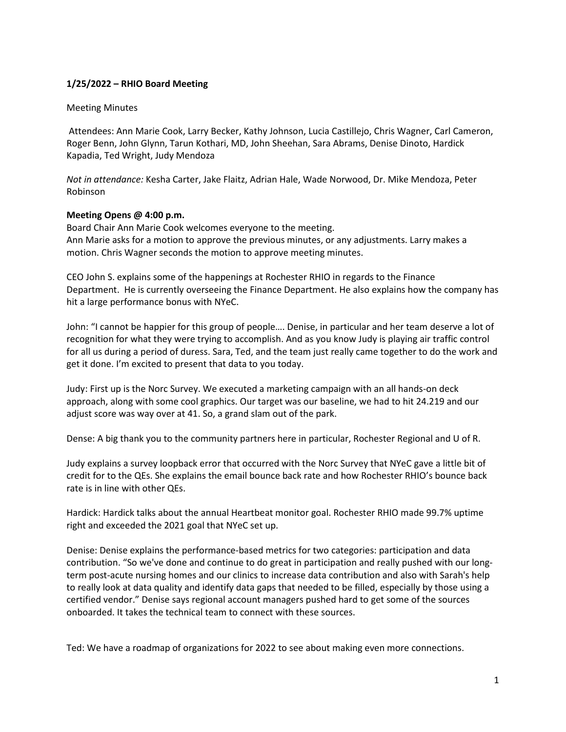## **1/25/2022 – RHIO Board Meeting**

## Meeting Minutes

Attendees: Ann Marie Cook, Larry Becker, Kathy Johnson, Lucia Castillejo, Chris Wagner, Carl Cameron, Roger Benn, John Glynn, Tarun Kothari, MD, John Sheehan, Sara Abrams, Denise Dinoto, Hardick Kapadia, Ted Wright, Judy Mendoza

*Not in attendance:* Kesha Carter, Jake Flaitz, Adrian Hale, Wade Norwood, Dr. Mike Mendoza, Peter Robinson

## **Meeting Opens @ 4:00 p.m.**

Board Chair Ann Marie Cook welcomes everyone to the meeting. Ann Marie asks for a motion to approve the previous minutes, or any adjustments. Larry makes a motion. Chris Wagner seconds the motion to approve meeting minutes.

CEO John S. explains some of the happenings at Rochester RHIO in regards to the Finance Department. He is currently overseeing the Finance Department. He also explains how the company has hit a large performance bonus with NYeC.

John: "I cannot be happier for this group of people…. Denise, in particular and her team deserve a lot of recognition for what they were trying to accomplish. And as you know Judy is playing air traffic control for all us during a period of duress. Sara, Ted, and the team just really came together to do the work and get it done. I'm excited to present that data to you today.

Judy: First up is the Norc Survey. We executed a marketing campaign with an all hands-on deck approach, along with some cool graphics. Our target was our baseline, we had to hit 24.219 and our adjust score was way over at 41. So, a grand slam out of the park.

Dense: A big thank you to the community partners here in particular, Rochester Regional and U of R.

Judy explains a survey loopback error that occurred with the Norc Survey that NYeC gave a little bit of credit for to the QEs. She explains the email bounce back rate and how Rochester RHIO's bounce back rate is in line with other QEs.

Hardick: Hardick talks about the annual Heartbeat monitor goal. Rochester RHIO made 99.7% uptime right and exceeded the 2021 goal that NYeC set up.

Denise: Denise explains the performance-based metrics for two categories: participation and data contribution. "So we've done and continue to do great in participation and really pushed with our longterm post-acute nursing homes and our clinics to increase data contribution and also with Sarah's help to really look at data quality and identify data gaps that needed to be filled, especially by those using a certified vendor." Denise says regional account managers pushed hard to get some of the sources onboarded. It takes the technical team to connect with these sources.

Ted: We have a roadmap of organizations for 2022 to see about making even more connections.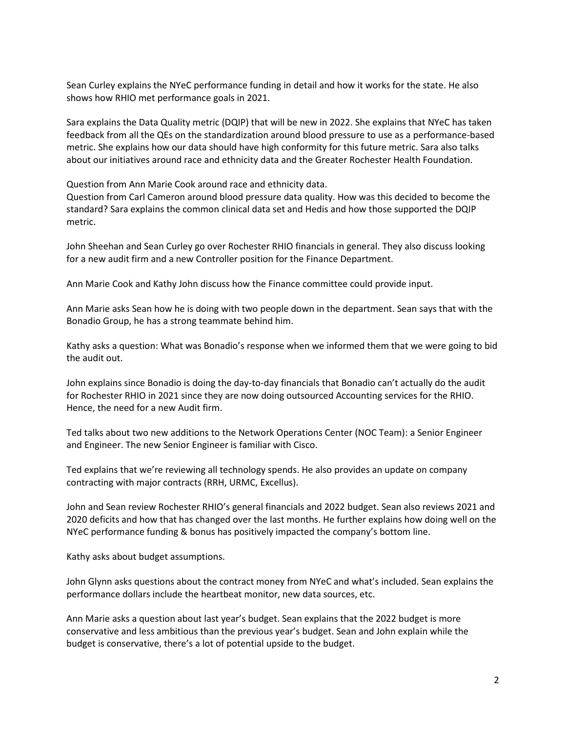Sean Curley explains the NYeC performance funding in detail and how it works for the state. He also shows how RHIO met performance goals in 2021.

Sara explains the Data Quality metric (DQIP) that will be new in 2022. She explains that NYeC has taken feedback from all the QEs on the standardization around blood pressure to use as a performance-based metric. She explains how our data should have high conformity for this future metric. Sara also talks about our initiatives around race and ethnicity data and the Greater Rochester Health Foundation.

Question from Ann Marie Cook around race and ethnicity data.

Question from Carl Cameron around blood pressure data quality. How was this decided to become the standard? Sara explains the common clinical data set and Hedis and how those supported the DQIP metric.

John Sheehan and Sean Curley go over Rochester RHIO financials in general. They also discuss looking for a new audit firm and a new Controller position for the Finance Department.

Ann Marie Cook and Kathy John discuss how the Finance committee could provide input.

Ann Marie asks Sean how he is doing with two people down in the department. Sean says that with the Bonadio Group, he has a strong teammate behind him.

Kathy asks a question: What was Bonadio's response when we informed them that we were going to bid the audit out.

John explains since Bonadio is doing the day-to-day financials that Bonadio can't actually do the audit for Rochester RHIO in 2021 since they are now doing outsourced Accounting services for the RHIO. Hence, the need for a new Audit firm.

Ted talks about two new additions to the Network Operations Center (NOC Team): a Senior Engineer and Engineer. The new Senior Engineer is familiar with Cisco.

Ted explains that we're reviewing all technology spends. He also provides an update on company contracting with major contracts (RRH, URMC, Excellus).

John and Sean review Rochester RHIO's general financials and 2022 budget. Sean also reviews 2021 and 2020 deficits and how that has changed over the last months. He further explains how doing well on the NYeC performance funding & bonus has positively impacted the company's bottom line.

Kathy asks about budget assumptions.

John Glynn asks questions about the contract money from NYeC and what's included. Sean explains the performance dollars include the heartbeat monitor, new data sources, etc.

Ann Marie asks a question about last year's budget. Sean explains that the 2022 budget is more conservative and less ambitious than the previous year's budget. Sean and John explain while the budget is conservative, there's a lot of potential upside to the budget.